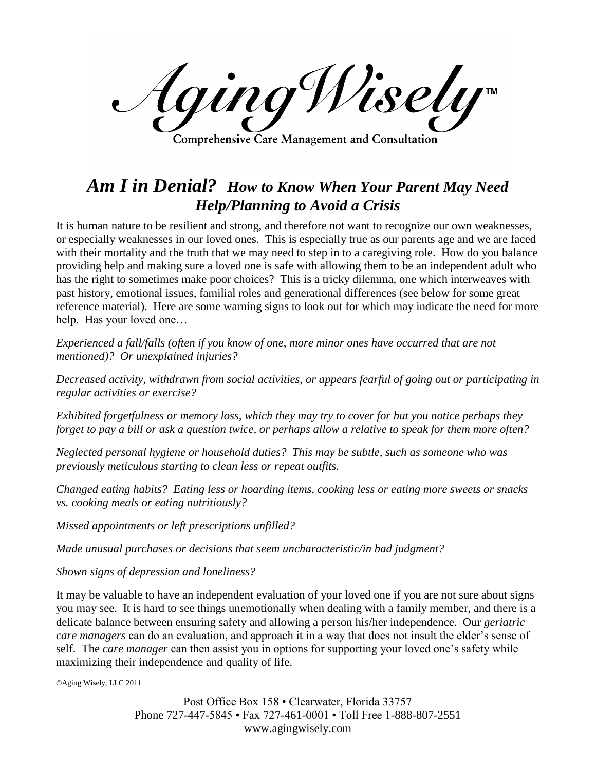AgingWisely **Comprehensive Care Management and Consultation** 

## *Am I in Denial? How to Know When Your Parent May Need Help/Planning to Avoid a Crisis*

It is human nature to be resilient and strong, and therefore not want to recognize our own weaknesses, or especially weaknesses in our loved ones. This is especially true as our parents age and we are faced with their mortality and the truth that we may need to step in to a caregiving role. How do you balance providing help and making sure a loved one is safe with allowing them to be an independent adult who has the right to sometimes make poor choices? This is a tricky dilemma, one which interweaves with past history, emotional issues, familial roles and generational differences (see below for some great reference material). Here are some warning signs to look out for which may indicate the need for more help. Has your loved one…

*Experienced a fall/falls (often if you know of one, more minor ones have occurred that are not mentioned)? Or unexplained injuries?*

*Decreased activity, withdrawn from social activities, or appears fearful of going out or participating in regular activities or exercise?*

*Exhibited forgetfulness or memory loss, which they may try to cover for but you notice perhaps they forget to pay a bill or ask a question twice, or perhaps allow a relative to speak for them more often?*

*Neglected personal hygiene or household duties? This may be subtle, such as someone who was previously meticulous starting to clean less or repeat outfits.*

*Changed eating habits? Eating less or hoarding items, cooking less or eating more sweets or snacks vs. cooking meals or eating nutritiously?*

*Missed appointments or left prescriptions unfilled?*

*Made unusual purchases or decisions that seem uncharacteristic/in bad judgment?*

*Shown signs of depression and loneliness?*

It may be valuable to have an independent evaluation of your loved one if you are not sure about signs you may see. It is hard to see things unemotionally when dealing with a family member, and there is a delicate balance between ensuring safety and allowing a person his/her independence. Our *geriatric care managers* can do an evaluation, and approach it in a way that does not insult the elder's sense of self. The *care manager* can then assist you in options for supporting your loved one's safety while maximizing their independence and quality of life.

©Aging Wisely, LLC 2011

Post Office Box 158 • Clearwater, Florida 33757 Phone 727-447-5845 • Fax 727-461-0001 • Toll Free 1-888-807-2551 www.agingwisely.com